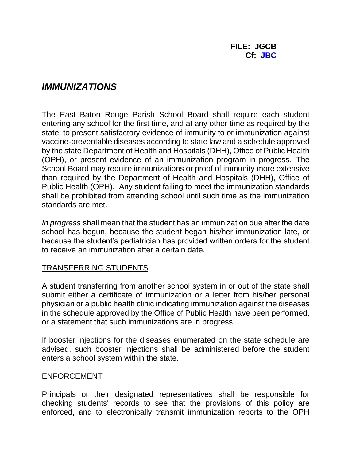# *IMMUNIZATIONS*

The East Baton Rouge Parish School Board shall require each student entering any school for the first time, and at any other time as required by the state, to present satisfactory evidence of immunity to or immunization against vaccine-preventable diseases according to state law and a schedule approved by the state Department of Health and Hospitals (DHH), Office of Public Health (OPH), or present evidence of an immunization program in progress. The School Board may require immunizations or proof of immunity more extensive than required by the Department of Health and Hospitals (DHH), Office of Public Health (OPH). Any student failing to meet the immunization standards shall be prohibited from attending school until such time as the immunization standards are met.

*In progress* shall mean that the student has an immunization due after the date school has begun, because the student began his/her immunization late, or because the student's pediatrician has provided written orders for the student to receive an immunization after a certain date.

## TRANSFERRING STUDENTS

A student transferring from another school system in or out of the state shall submit either a certificate of immunization or a letter from his/her personal physician or a public health clinic indicating immunization against the diseases in the schedule approved by the Office of Public Health have been performed, or a statement that such immunizations are in progress.

If booster injections for the diseases enumerated on the state schedule are advised, such booster injections shall be administered before the student enters a school system within the state.

#### ENFORCEMENT

Principals or their designated representatives shall be responsible for checking students' records to see that the provisions of this policy are enforced, and to electronically transmit immunization reports to the OPH